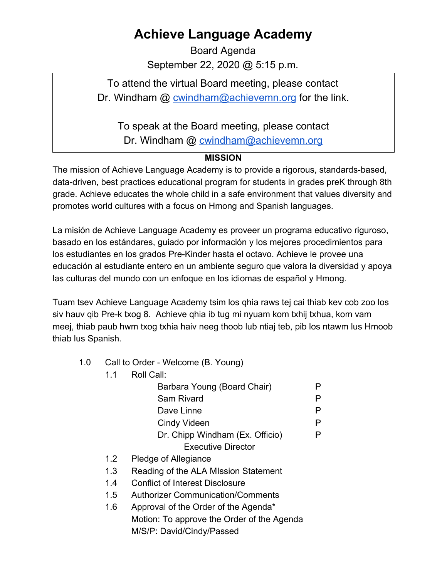## **Achieve Language Academy**

Board Agenda September 22, 2020 @ 5:15 p.m.

To attend the virtual Board meeting, please contact Dr. Windham @ [cwindham@achievemn.org](mailto:cwindham@achievemn.org) for the link.

To speak at the Board meeting, please contact

Dr. Windham @ [cwindham@achievemn.org](mailto:cwindham@achievemn.org)

## **MISSION**

The mission of Achieve Language Academy is to provide a rigorous, standards-based, data-driven, best practices educational program for students in grades preK through 8th grade. Achieve educates the whole child in a safe environment that values diversity and promotes world cultures with a focus on Hmong and Spanish languages.

La misión de Achieve Language Academy es proveer un programa educativo riguroso, basado en los estándares, guiado por información y los mejores procedimientos para los estudiantes en los grados Pre-Kinder hasta el octavo. Achieve le provee una educación al estudiante entero en un ambiente seguro que valora la diversidad y apoya las culturas del mundo con un enfoque en los idiomas de español y Hmong.

Tuam tsev Achieve Language Academy tsim los qhia raws tej cai thiab kev cob zoo los siv hauv qib Pre-k txog 8. Achieve qhia ib tug mi nyuam kom txhij txhua, kom vam meej, thiab paub hwm txog txhia haiv neeg thoob lub ntiaj teb, pib los ntawm lus Hmoob thiab lus Spanish.

- 1.0 Call to Order Welcome (B. Young)
	- 1.1 Roll Call: Barbara Young (Board Chair) P Sam Rivard P Dave Linne P Cindy Videen P Dr. Chipp Windham (Ex. Officio) P Executive Director 1.2 Pledge of Allegiance
	- 1.3 Reading of the ALA MIssion Statement
	- 1.4 Conflict of Interest Disclosure
	- 1.5 Authorizer Communication/Comments
	- 1.6 Approval of the Order of the Agenda\* Motion: To approve the Order of the Agenda M/S/P: David/Cindy/Passed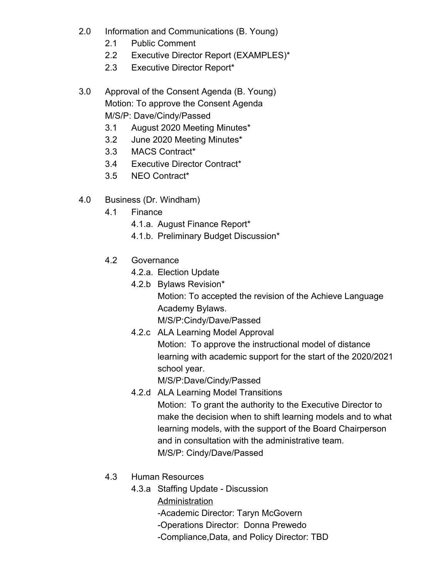- 2.0 Information and Communications (B. Young)
	- 2.1 Public Comment
	- 2.2 Executive Director Report (EXAMPLES)\*
	- 2.3 Executive Director Report\*
- 3.0 Approval of the Consent Agenda (B. Young) Motion: To approve the Consent Agenda M/S/P: Dave/Cindy/Passed
	- 3.1 August 2020 Meeting Minutes\*
	- 3.2 June 2020 Meeting Minutes\*
	- 3.3 MACS Contract\*
	- 3.4 Executive Director Contract\*
	- 3.5 NEO Contract\*
- 4.0 Business (Dr. Windham)
	- 4.1 Finance
		- 4.1.a. August Finance Report\*
		- 4.1.b. Preliminary Budget Discussion\*
	- 4.2 Governance
		- 4.2.a. Election Update
		- 4.2.b Bylaws Revision\* Motion: To accepted the revision of the Achieve Language Academy Bylaws. M/S/P:Cindy/Dave/Passed
		- 4.2.c ALA Learning Model Approval Motion: To approve the instructional model of distance learning with academic support for the start of the 2020/2021 school year.

M/S/P:Dave/Cindy/Passed

- 4.2.d ALA Learning Model Transitions Motion: To grant the authority to the Executive Director to make the decision when to shift learning models and to what learning models, with the support of the Board Chairperson and in consultation with the administrative team. M/S/P: Cindy/Dave/Passed
- 4.3 Human Resources
	- 4.3.a Staffing Update Discussion
		- **Administration** 
			- -Academic Director: Taryn McGovern
			- -Operations Director: Donna Prewedo
			- -Compliance,Data, and Policy Director: TBD